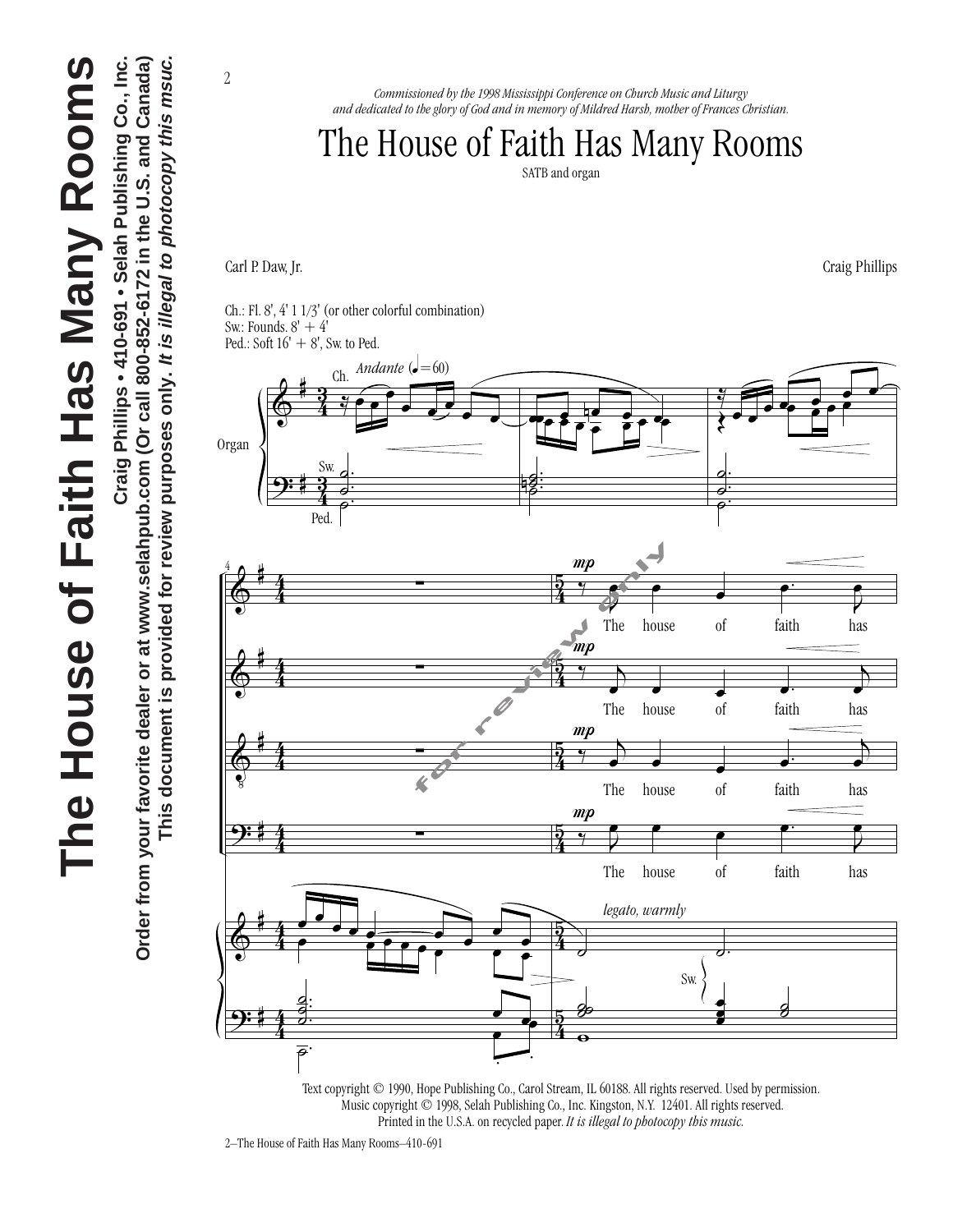

Craig Phillips • 410-691 • Selah Publishing Co., Inc. **Craig Phillips • 410-691 • Selah Publishing Co., Inc.** Order from your favorite dealer or at www.selahpub.com (Or call 800-852-6172 in the U.S. and Canada) **Order from your favorite dealer or at www.selahpub.com (Or call 800-852-6172 in the U.S. and Canada)** This document is provided for review purposes only. It is illegal to photocopy this msuc. **This document is provided for review purposes only. It is illegal to photocopy this msuc.**

*Commissioned by the 1998 Mississippi Conference on Church Music and Liturgy and dedicated to the glory of God and in memory of Mildred Harsh, mother of Frances Christian.*

## The House of Faith Has Many Rooms

SATB and organ

Carl P. Daw, Jr. Craig Phillips

2

Ch.: Fl. 8', 4' 1 1/3' (or other colorful combination) Sw.: Founds.  $8' + 4'$ Ped.: Soft  $16' + 8'$ , Sw. to Ped.



.<br>. Text copyright © 1990, Hope Publishing Co., Carol Stream, IL 60188. All rights reserved. Used by permission. Music copyright © 1998, Selah Publishing Co., Inc. Kingston, N.Y. 12401. All rights reserved. Printed in the U.S.A. on recycled paper. *It is illegal to photocopy this music.*

2–The House of Faith Has Many Rooms–410-691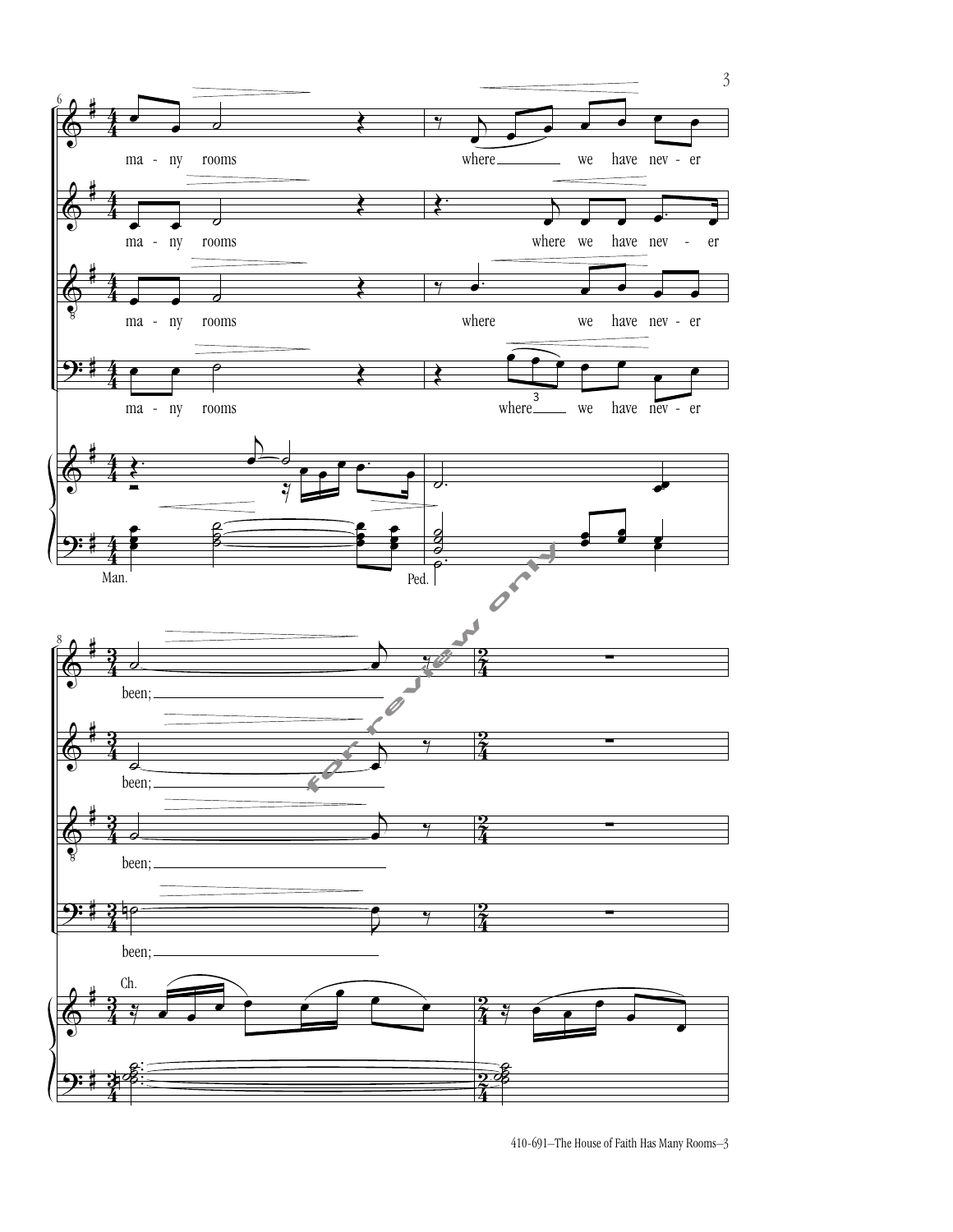

410-691–The House of Faith Has Many Rooms–3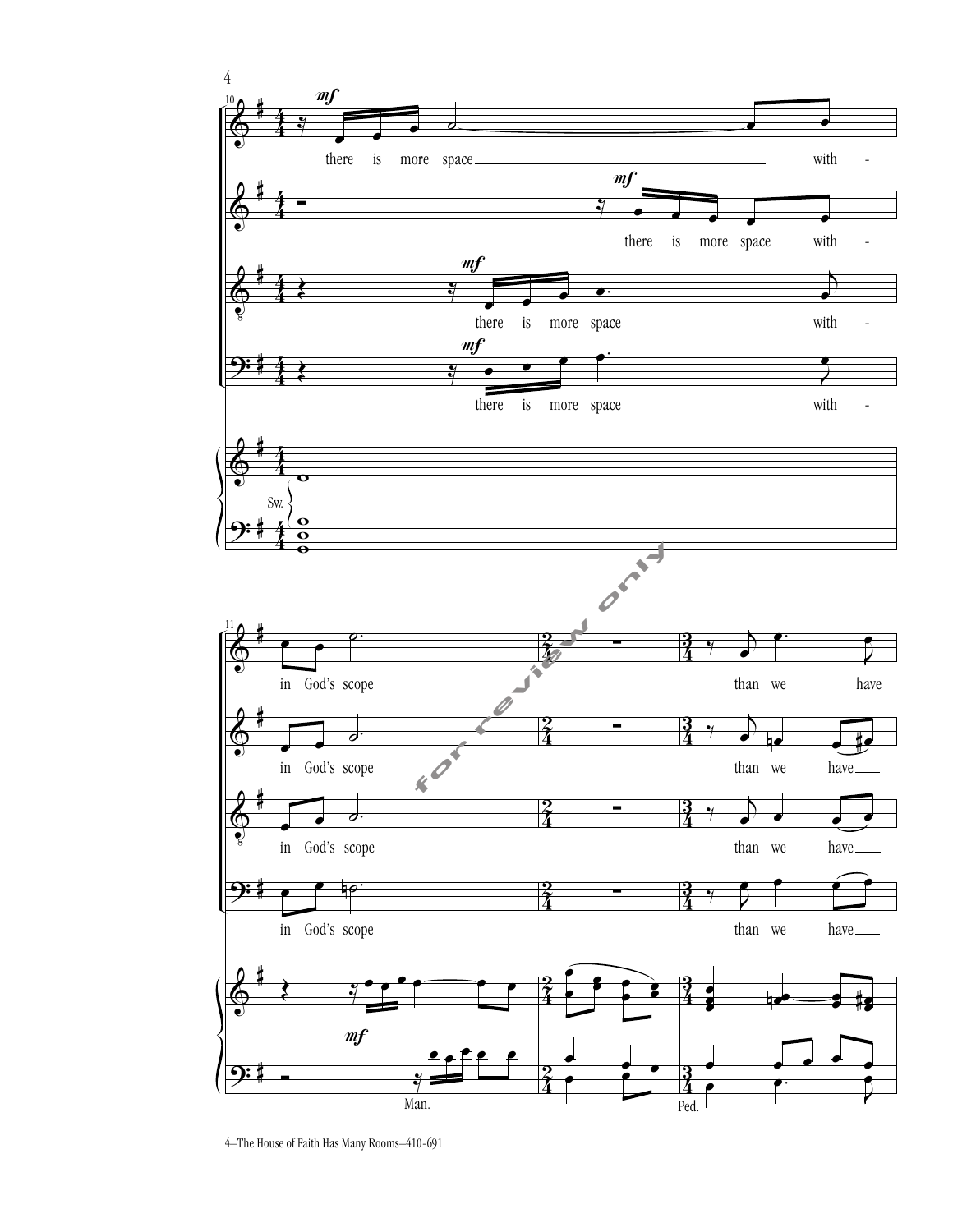

<sup>4–</sup>The House of Faith Has Many Rooms–410-691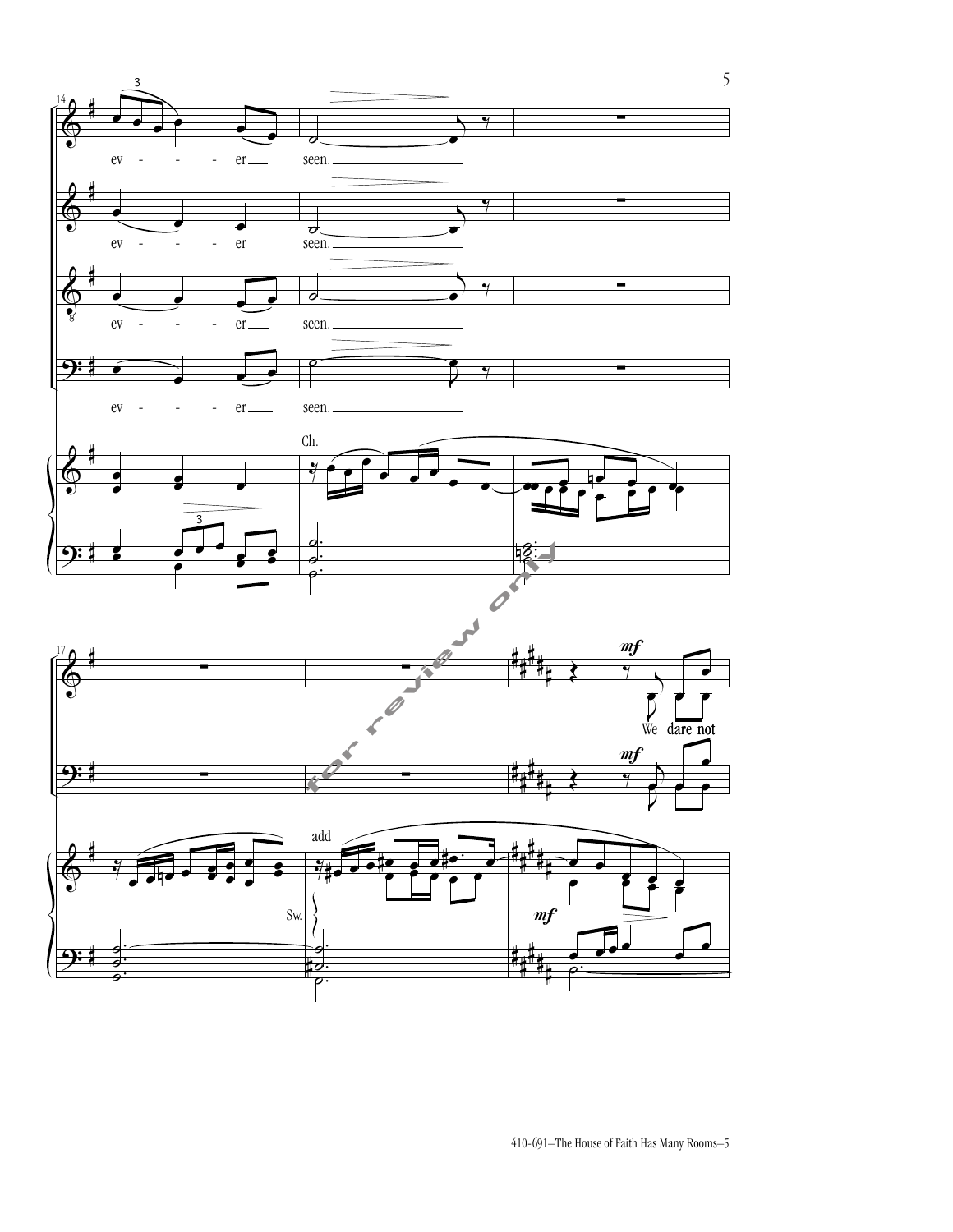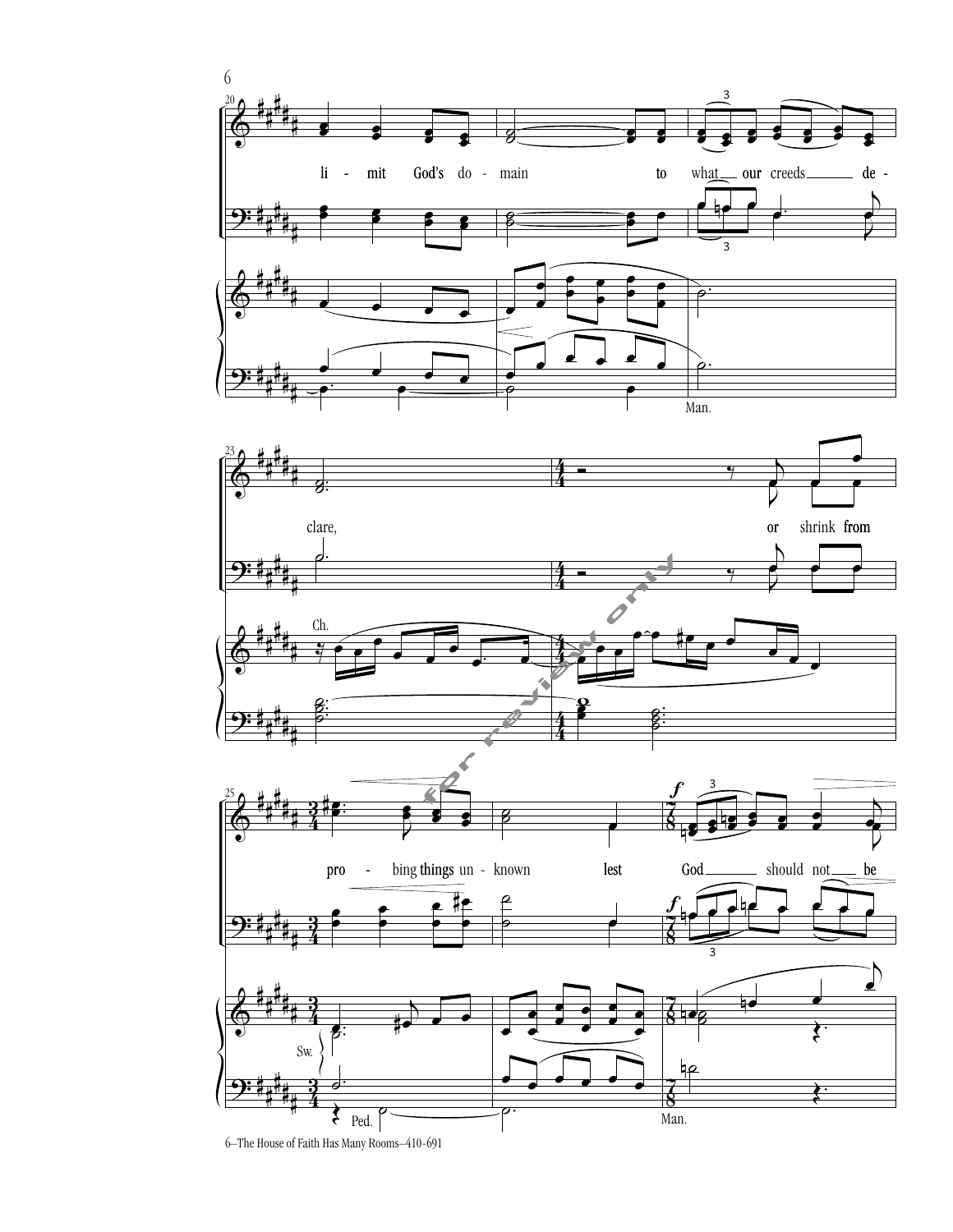





6–The House of Faith Has Many Rooms–410-691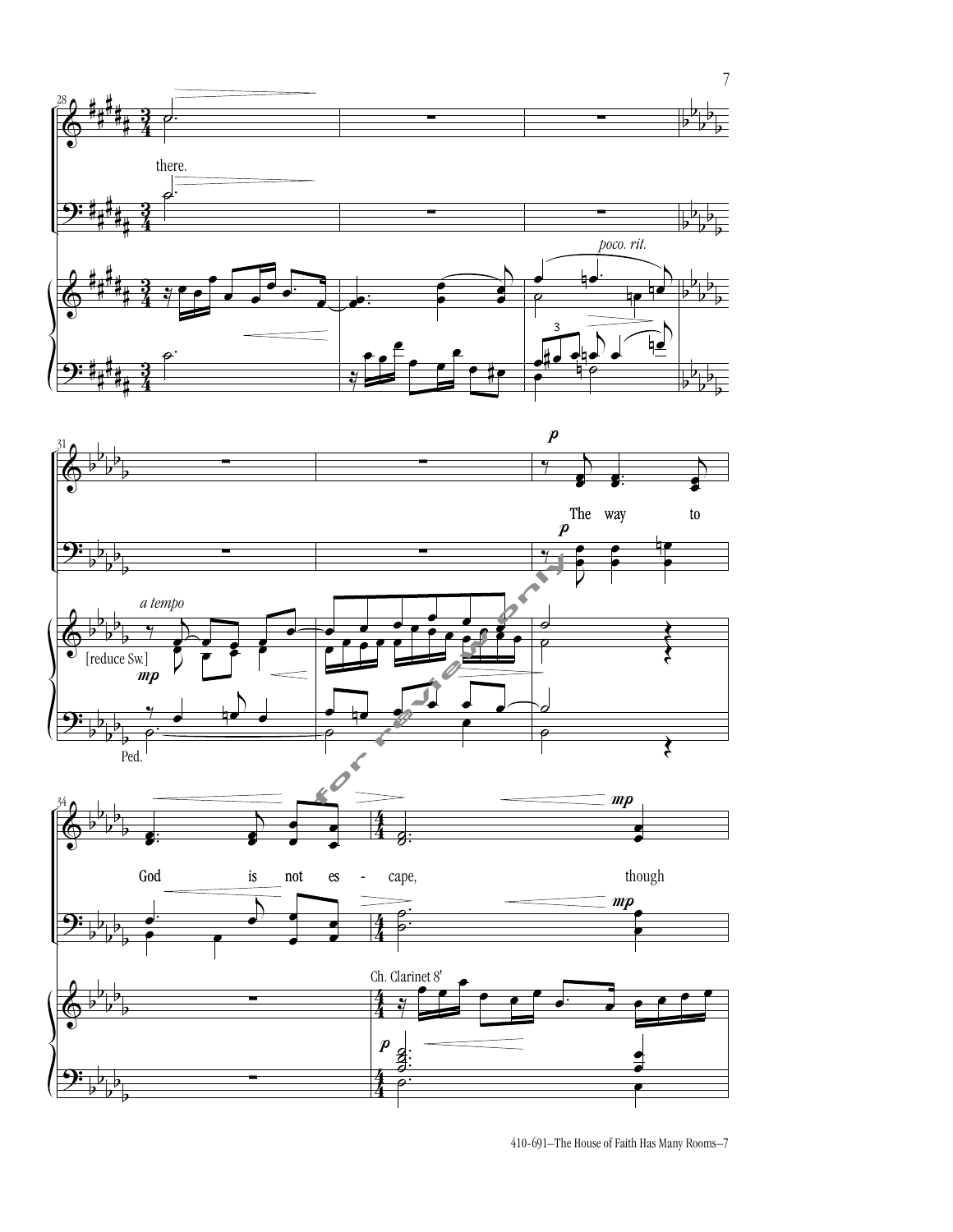



410-691–The House of Faith Has Many Rooms–7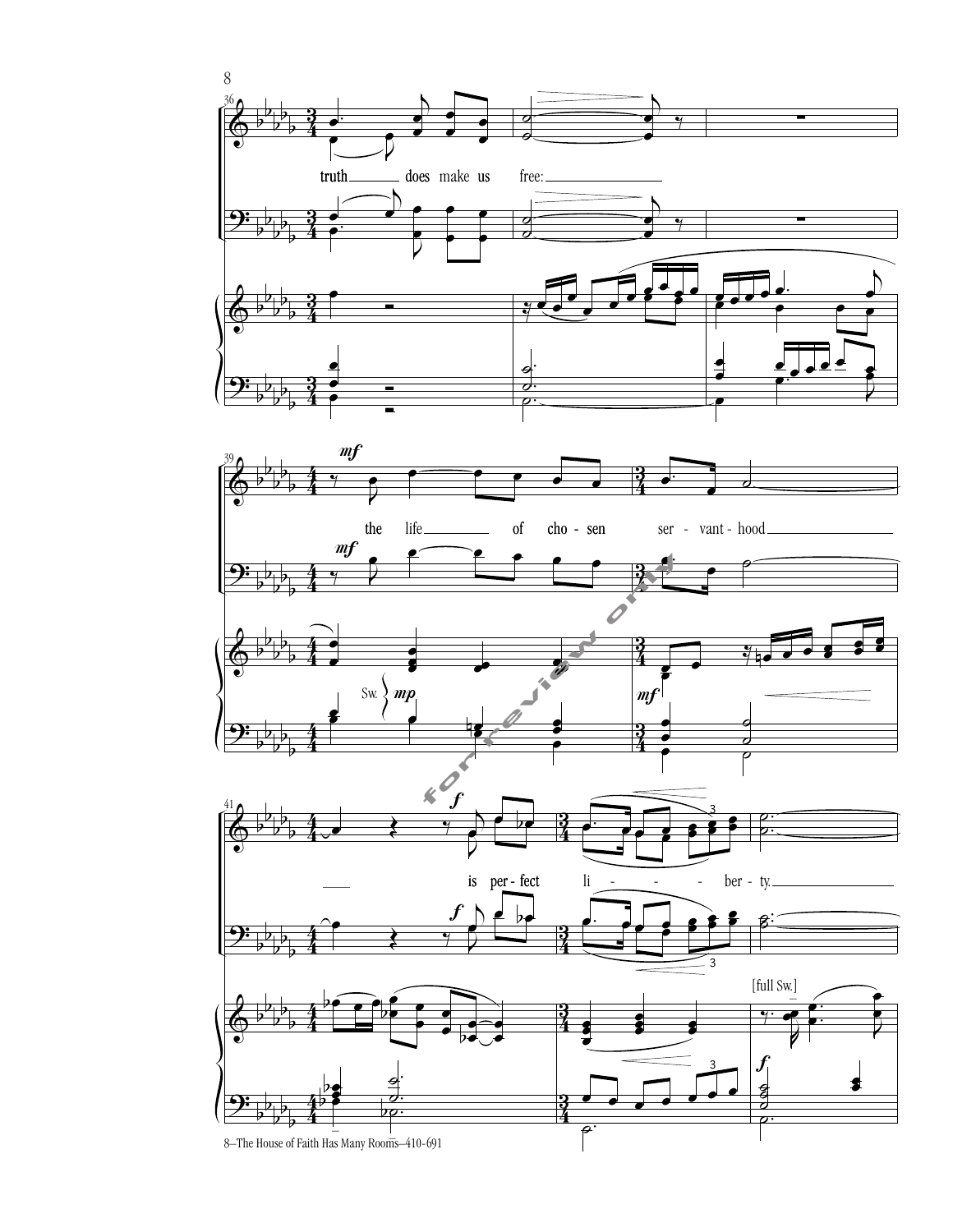

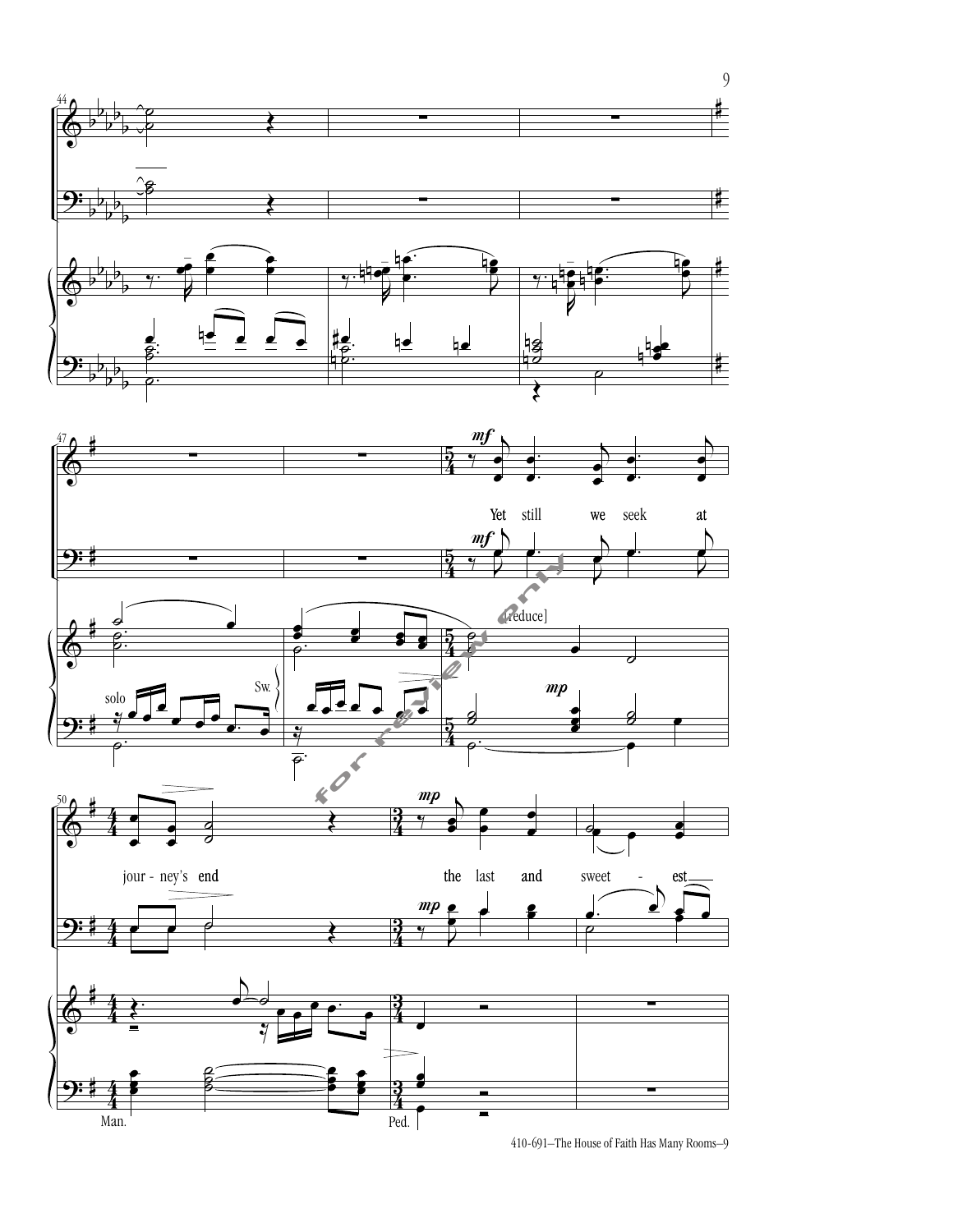

410-691–The House of Faith Has Many Rooms–9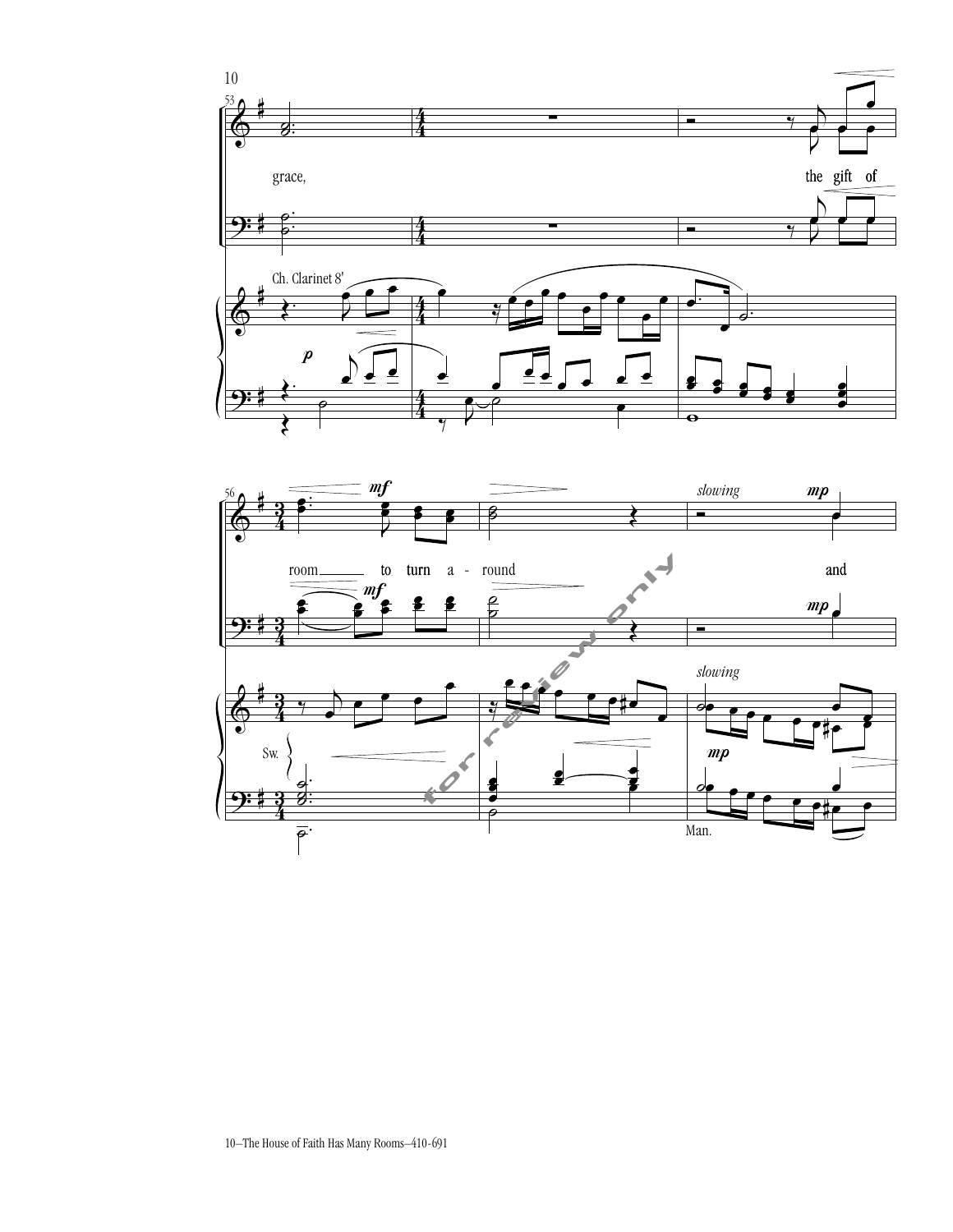